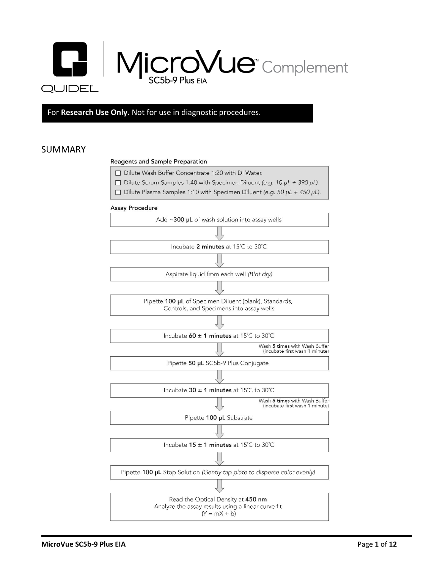

For **Research Use Only.** Not for use in diagnostic procedures.

## SUMMARY

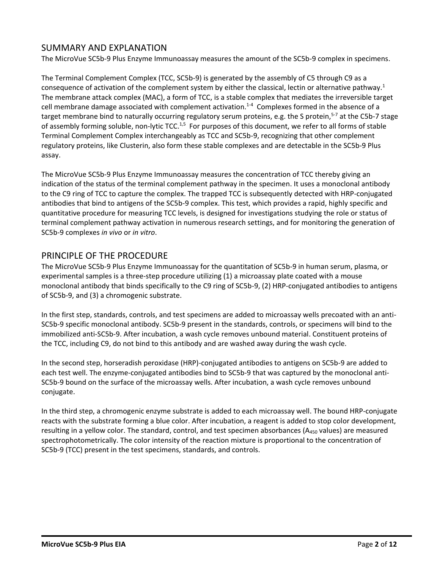## SUMMARY AND EXPLANATION

The MicroVue SC5b-9 Plus Enzyme Immunoassay measures the amount of the SC5b-9 complex in specimens.

The Terminal Complement Complex (TCC, SC5b-9) is generated by the assembly of C5 through C9 as a consequence of activation of the complement system by either the classical, lectin or alternative pathway.<sup>1</sup> The membrane attack complex (MAC), a form of TCC, is a stable complex that mediates the irreversible target cell membrane damage associated with complement activation.<sup>1-4</sup> Complexes formed in the absence of a target membrane bind to naturally occurring regulatory serum proteins, e.g. the S protein,<sup>5-7</sup> at the C5b-7 stage of assembly forming soluble, non-lytic TCC.<sup>1,5</sup> For purposes of this document, we refer to all forms of stable Terminal Complement Complex interchangeably as TCC and SC5b-9, recognizing that other complement regulatory proteins, like Clusterin, also form these stable complexes and are detectable in the SC5b-9 Plus assay.

The MicroVue SC5b-9 Plus Enzyme Immunoassay measures the concentration of TCC thereby giving an indication of the status of the terminal complement pathway in the specimen. It uses a monoclonal antibody to the C9 ring of TCC to capture the complex. The trapped TCC is subsequently detected with HRP-conjugated antibodies that bind to antigens of the SC5b-9 complex. This test, which provides a rapid, highly specific and quantitative procedure for measuring TCC levels, is designed for investigations studying the role or status of terminal complement pathway activation in numerous research settings, and for monitoring the generation of SC5b-9 complexes *in vivo* or *in vitro*.

## PRINCIPLE OF THE PROCEDURE

The MicroVue SC5b-9 Plus Enzyme Immunoassay for the quantitation of SC5b-9 in human serum, plasma, or experimental samples is a three-step procedure utilizing (1) a microassay plate coated with a mouse monoclonal antibody that binds specifically to the C9 ring of SC5b-9, (2) HRP-conjugated antibodies to antigens of SC5b-9, and (3) a chromogenic substrate.

In the first step, standards, controls, and test specimens are added to microassay wells precoated with an anti-SC5b-9 specific monoclonal antibody. SC5b-9 present in the standards, controls, or specimens will bind to the immobilized anti-SC5b-9. After incubation, a wash cycle removes unbound material. Constituent proteins of the TCC, including C9, do not bind to this antibody and are washed away during the wash cycle.

In the second step, horseradish peroxidase (HRP)-conjugated antibodies to antigens on SC5b-9 are added to each test well. The enzyme-conjugated antibodies bind to SC5b-9 that was captured by the monoclonal anti-SC5b-9 bound on the surface of the microassay wells. After incubation, a wash cycle removes unbound conjugate.

In the third step, a chromogenic enzyme substrate is added to each microassay well. The bound HRP-conjugate reacts with the substrate forming a blue color. After incubation, a reagent is added to stop color development, resulting in a yellow color. The standard, control, and test specimen absorbances ( $A_{450}$  values) are measured spectrophotometrically. The color intensity of the reaction mixture is proportional to the concentration of SC5b-9 (TCC) present in the test specimens, standards, and controls.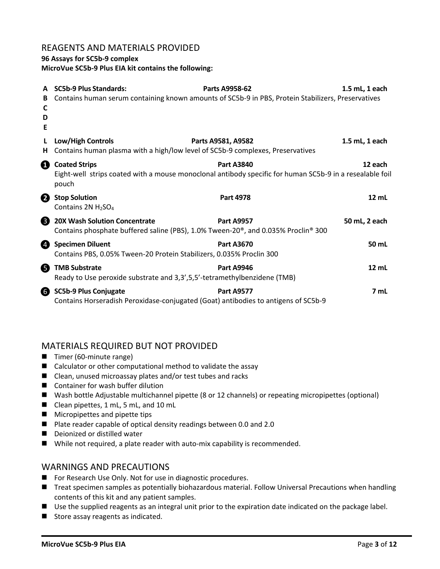### REAGENTS AND MATERIALS PROVIDED

#### **96 Assays for SC5b-9 complex**

**MicroVue SC5b-9 Plus EIA kit contains the following:**

| A<br>B<br>C<br>D<br>Е | <b>SC5b-9 Plus Standards:</b>                                                                    | Parts A9958-62<br>Contains human serum containing known amounts of SC5b-9 in PBS, Protein Stabilizers, Preservatives            | 1.5 mL, 1 each |
|-----------------------|--------------------------------------------------------------------------------------------------|---------------------------------------------------------------------------------------------------------------------------------|----------------|
| н                     | Low/High Controls                                                                                | Parts A9581, A9582<br>Contains human plasma with a high/low level of SC5b-9 complexes, Preservatives                            | 1.5 mL, 1 each |
| O                     | <b>Coated Strips</b><br>pouch                                                                    | <b>Part A3840</b><br>Eight-well strips coated with a mouse monoclonal antibody specific for human SC5b-9 in a resealable foil   | 12 each        |
| 2                     | <b>Stop Solution</b><br>Contains 2N H <sub>2</sub> SO <sub>4</sub>                               | <b>Part 4978</b>                                                                                                                | 12 mL          |
| ❸                     | <b>20X Wash Solution Concentrate</b>                                                             | <b>Part A9957</b><br>Contains phosphate buffered saline (PBS), 1.0% Tween-20 <sup>®</sup> , and 0.035% Proclin <sup>®</sup> 300 | 50 mL, 2 each  |
| Ø                     | <b>Specimen Diluent</b><br>Contains PBS, 0.05% Tween-20 Protein Stabilizers, 0.035% Proclin 300  | <b>Part A3670</b>                                                                                                               | 50 mL          |
| 6                     | <b>TMB Substrate</b><br>Ready to Use peroxide substrate and 3,3',5,5'-tetramethylbenzidene (TMB) | <b>Part A9946</b>                                                                                                               | 12 mL          |
| 6                     | <b>SC5b-9 Plus Conjugate</b>                                                                     | <b>Part A9577</b><br>Contains Horseradish Peroxidase-conjugated (Goat) antibodies to antigens of SC5b-9                         | 7 mL           |

## MATERIALS REQUIRED BUT NOT PROVIDED

- Timer (60-minute range)
- Calculator or other computational method to validate the assay
- Clean, unused microassay plates and/or test tubes and racks
- Container for wash buffer dilution
- Wash bottle Adjustable multichannel pipette (8 or 12 channels) or repeating micropipettes (optional)
- Clean pipettes, 1 mL, 5 mL, and 10 mL
- Micropipettes and pipette tips
- Plate reader capable of optical density readings between 0.0 and 2.0
- Deionized or distilled water
- While not required, a plate reader with auto-mix capability is recommended.

### WARNINGS AND PRECAUTIONS

- For Research Use Only. Not for use in diagnostic procedures.
- Treat specimen samples as potentially biohazardous material. Follow Universal Precautions when handling contents of this kit and any patient samples.
- Use the supplied reagents as an integral unit prior to the expiration date indicated on the package label.
- Store assay reagents as indicated.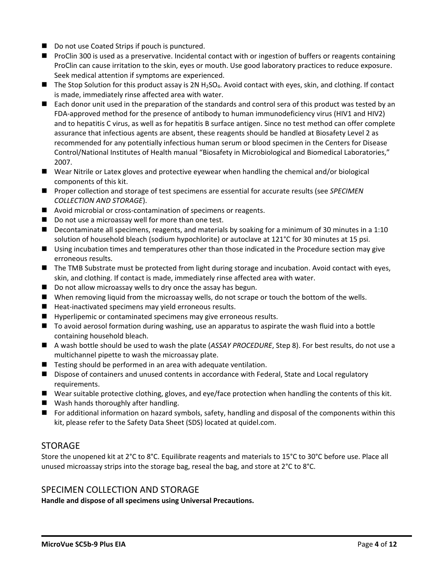- Do not use Coated Strips if pouch is punctured.
- ProClin 300 is used as a preservative. Incidental contact with or ingestion of buffers or reagents containing ProClin can cause irritation to the skin, eyes or mouth. Use good laboratory practices to reduce exposure. Seek medical attention if symptoms are experienced.
- $\blacksquare$  The Stop Solution for this product assay is 2N H<sub>2</sub>SO<sub>4</sub>. Avoid contact with eyes, skin, and clothing. If contact is made, immediately rinse affected area with water.
- Each donor unit used in the preparation of the standards and control sera of this product was tested by an FDA-approved method for the presence of antibody to human immunodeficiency virus (HIV1 and HIV2) and to hepatitis C virus, as well as for hepatitis B surface antigen. Since no test method can offer complete assurance that infectious agents are absent, these reagents should be handled at Biosafety Level 2 as recommended for any potentially infectious human serum or blood specimen in the Centers for Disease Control/National Institutes of Health manual "Biosafety in Microbiological and Biomedical Laboratories," 2007.
- Wear Nitrile or Latex gloves and protective eyewear when handling the chemical and/or biological components of this kit.
- Proper collection and storage of test specimens are essential for accurate results (see *SPECIMEN COLLECTION AND STORAGE*).
- Avoid microbial or cross-contamination of specimens or reagents.
- Do not use a microassay well for more than one test.
- Decontaminate all specimens, reagents, and materials by soaking for a minimum of 30 minutes in a 1:10 solution of household bleach (sodium hypochlorite) or autoclave at 121°C for 30 minutes at 15 psi.
- Using incubation times and temperatures other than those indicated in the Procedure section may give erroneous results.
- The TMB Substrate must be protected from light during storage and incubation. Avoid contact with eyes, skin, and clothing. If contact is made, immediately rinse affected area with water.
- Do not allow microassay wells to dry once the assay has begun.
- When removing liquid from the microassay wells, do not scrape or touch the bottom of the wells.
- Heat-inactivated specimens may yield erroneous results.
- Hyperlipemic or contaminated specimens may give erroneous results.
- To avoid aerosol formation during washing, use an apparatus to aspirate the wash fluid into a bottle containing household bleach.
- A wash bottle should be used to wash the plate (*ASSAY PROCEDURE*, Step 8). For best results, do not use a multichannel pipette to wash the microassay plate.
- Testing should be performed in an area with adequate ventilation.
- Dispose of containers and unused contents in accordance with Federal, State and Local regulatory requirements.
- Wear suitable protective clothing, gloves, and eye/face protection when handling the contents of this kit.
- Wash hands thoroughly after handling.
- For additional information on hazard symbols, safety, handling and disposal of the components within this kit, please refer to the Safety Data Sheet (SDS) located at quidel.com.

### **STORAGE**

Store the unopened kit at 2°C to 8°C. Equilibrate reagents and materials to 15°C to 30°C before use. Place all unused microassay strips into the storage bag, reseal the bag, and store at 2°C to 8°C.

### SPECIMEN COLLECTION AND STORAGE

**Handle and dispose of all specimens using Universal Precautions.**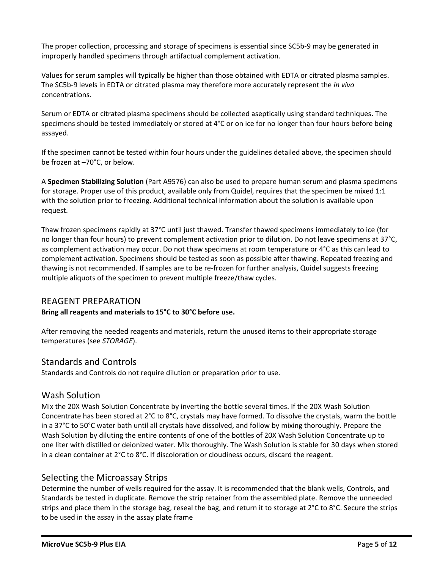The proper collection, processing and storage of specimens is essential since SC5b-9 may be generated in improperly handled specimens through artifactual complement activation.

Values for serum samples will typically be higher than those obtained with EDTA or citrated plasma samples. The SC5b-9 levels in EDTA or citrated plasma may therefore more accurately represent the *in vivo* concentrations.

Serum or EDTA or citrated plasma specimens should be collected aseptically using standard techniques. The specimens should be tested immediately or stored at 4°C or on ice for no longer than four hours before being assayed.

If the specimen cannot be tested within four hours under the guidelines detailed above, the specimen should be frozen at –70°C, or below.

A **Specimen Stabilizing Solution** (Part A9576) can also be used to prepare human serum and plasma specimens for storage. Proper use of this product, available only from Quidel, requires that the specimen be mixed 1:1 with the solution prior to freezing. Additional technical information about the solution is available upon request.

Thaw frozen specimens rapidly at 37°C until just thawed. Transfer thawed specimens immediately to ice (for no longer than four hours) to prevent complement activation prior to dilution. Do not leave specimens at 37°C, as complement activation may occur. Do not thaw specimens at room temperature or 4°C as this can lead to complement activation. Specimens should be tested as soon as possible after thawing. Repeated freezing and thawing is not recommended. If samples are to be re-frozen for further analysis, Quidel suggests freezing multiple aliquots of the specimen to prevent multiple freeze/thaw cycles.

### REAGENT PREPARATION

#### **Bring all reagents and materials to 15°C to 30°C before use.**

After removing the needed reagents and materials, return the unused items to their appropriate storage temperatures (see *STORAGE*).

### Standards and Controls

Standards and Controls do not require dilution or preparation prior to use.

### Wash Solution

Mix the 20X Wash Solution Concentrate by inverting the bottle several times. If the 20X Wash Solution Concentrate has been stored at 2°C to 8°C, crystals may have formed. To dissolve the crystals, warm the bottle in a 37°C to 50°C water bath until all crystals have dissolved, and follow by mixing thoroughly. Prepare the Wash Solution by diluting the entire contents of one of the bottles of 20X Wash Solution Concentrate up to one liter with distilled or deionized water. Mix thoroughly. The Wash Solution is stable for 30 days when stored in a clean container at 2°C to 8°C. If discoloration or cloudiness occurs, discard the reagent.

## Selecting the Microassay Strips

Determine the number of wells required for the assay. It is recommended that the blank wells, Controls, and Standards be tested in duplicate. Remove the strip retainer from the assembled plate. Remove the unneeded strips and place them in the storage bag, reseal the bag, and return it to storage at 2°C to 8°C. Secure the strips to be used in the assay in the assay plate frame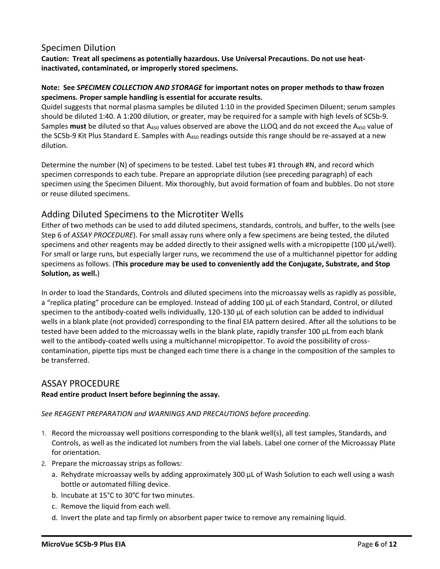## Specimen Dilution

**Caution: Treat all specimens as potentially hazardous. Use Universal Precautions. Do not use heatinactivated, contaminated, or improperly stored specimens.**

#### **Note: See** *SPECIMEN COLLECTION AND STORAGE* **for important notes on proper methods to thaw frozen specimens. Proper sample handling is essential for accurate results.**

Quidel suggests that normal plasma samples be diluted 1:10 in the provided Specimen Diluent; serum samples should be diluted 1:40. A 1:200 dilution, or greater, may be required for a sample with high levels of SC5b-9. Samples must be diluted so that A<sub>450</sub> values observed are above the LLOQ and do not exceed the A<sub>450</sub> value of the SC5b-9 Kit Plus Standard E. Samples with A<sub>450</sub> readings outside this range should be re-assayed at a new dilution.

Determine the number (N) of specimens to be tested. Label test tubes #1 through #N, and record which specimen corresponds to each tube. Prepare an appropriate dilution (see preceding paragraph) of each specimen using the Specimen Diluent. Mix thoroughly, but avoid formation of foam and bubbles. Do not store or reuse diluted specimens.

## Adding Diluted Specimens to the Microtiter Wells

Either of two methods can be used to add diluted specimens, standards, controls, and buffer, to the wells (see Step 6 of *ASSAY PROCEDURE*). For small assay runs where only a few specimens are being tested, the diluted specimens and other reagents may be added directly to their assigned wells with a micropipette (100 µL/well). For small or large runs, but especially larger runs, we recommend the use of a multichannel pipettor for adding specimens as follows. (**This procedure may be used to conveniently add the Conjugate, Substrate, and Stop Solution, as well.**)

In order to load the Standards, Controls and diluted specimens into the microassay wells as rapidly as possible, a "replica plating" procedure can be employed. Instead of adding 100 µL of each Standard, Control, or diluted specimen to the antibody-coated wells individually, 120-130 µL of each solution can be added to individual wells in a blank plate (not provided) corresponding to the final EIA pattern desired. After all the solutions to be tested have been added to the microassay wells in the blank plate, rapidly transfer 100 µL from each blank well to the antibody-coated wells using a multichannel micropipettor. To avoid the possibility of crosscontamination, pipette tips must be changed each time there is a change in the composition of the samples to be transferred.

## ASSAY PROCEDURE

#### **Read entire product Insert before beginning the assay.**

*See REAGENT PREPARATION and WARNINGS AND PRECAUTIONS before proceeding.*

- 1. Record the microassay well positions corresponding to the blank well(s), all test samples, Standards, and Controls, as well as the indicated lot numbers from the vial labels. Label one corner of the Microassay Plate for orientation.
- 2. Prepare the microassay strips as follows:
	- a. Rehydrate microassay wells by adding approximately 300 µL of Wash Solution to each well using a wash bottle or automated filling device.
	- b. Incubate at 15°C to 30°C for two minutes.
	- c. Remove the liquid from each well.
	- d. Invert the plate and tap firmly on absorbent paper twice to remove any remaining liquid.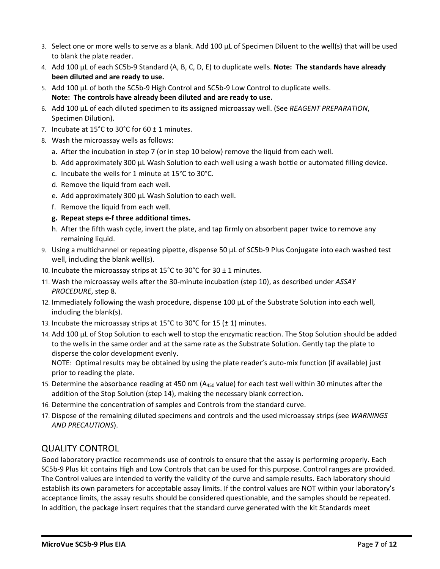- 3. Select one or more wells to serve as a blank. Add 100 µL of Specimen Diluent to the well(s) that will be used to blank the plate reader.
- 4. Add 100 µL of each SC5b-9 Standard (A, B, C, D, E) to duplicate wells. **Note: The standards have already been diluted and are ready to use.**
- 5. Add 100 µL of both the SC5b-9 High Control and SC5b-9 Low Control to duplicate wells. **Note: The controls have already been diluted and are ready to use.**
- 6. Add 100 µL of each diluted specimen to its assigned microassay well. (See *REAGENT PREPARATION*, Specimen Dilution).
- 7. Incubate at  $15^{\circ}$ C to 30°C for 60  $\pm$  1 minutes.
- 8. Wash the microassay wells as follows:
	- a. After the incubation in step 7 (or in step 10 below) remove the liquid from each well.
	- b. Add approximately 300 µL Wash Solution to each well using a wash bottle or automated filling device.
	- c. Incubate the wells for 1 minute at 15°C to 30°C.
	- d. Remove the liquid from each well.
	- e. Add approximately 300 µL Wash Solution to each well.
	- f. Remove the liquid from each well.
	- **g. Repeat steps e-f three additional times.**
	- h. After the fifth wash cycle, invert the plate, and tap firmly on absorbent paper twice to remove any remaining liquid.
- 9. Using a multichannel or repeating pipette, dispense 50 µL of SC5b-9 Plus Conjugate into each washed test well, including the blank well(s).
- 10. Incubate the microassay strips at 15<sup>°</sup>C to 30<sup>°</sup>C for 30  $\pm$  1 minutes.
- 11. Wash the microassay wells after the 30-minute incubation (step 10), as described under *ASSAY PROCEDURE*, step 8.
- 12. Immediately following the wash procedure, dispense 100 µL of the Substrate Solution into each well, including the blank(s).
- 13. Incubate the microassay strips at 15°C to 30°C for 15 ( $\pm$  1) minutes.
- 14. Add 100 µL of Stop Solution to each well to stop the enzymatic reaction. The Stop Solution should be added to the wells in the same order and at the same rate as the Substrate Solution. Gently tap the plate to disperse the color development evenly.

NOTE: Optimal results may be obtained by using the plate reader's auto-mix function (if available) just prior to reading the plate.

- 15. Determine the absorbance reading at 450 nm ( $A_{450}$  value) for each test well within 30 minutes after the addition of the Stop Solution (step 14), making the necessary blank correction.
- 16. Determine the concentration of samples and Controls from the standard curve.
- 17. Dispose of the remaining diluted specimens and controls and the used microassay strips (see *WARNINGS AND PRECAUTIONS*).

# QUALITY CONTROL

Good laboratory practice recommends use of controls to ensure that the assay is performing properly. Each SC5b-9 Plus kit contains High and Low Controls that can be used for this purpose. Control ranges are provided. The Control values are intended to verify the validity of the curve and sample results. Each laboratory should establish its own parameters for acceptable assay limits. If the control values are NOT within your laboratory's acceptance limits, the assay results should be considered questionable, and the samples should be repeated. In addition, the package insert requires that the standard curve generated with the kit Standards meet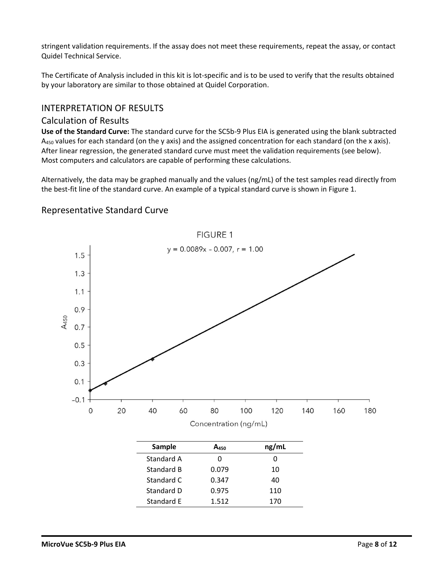stringent validation requirements. If the assay does not meet these requirements, repeat the assay, or contact Quidel Technical Service.

The Certificate of Analysis included in this kit is lot-specific and is to be used to verify that the results obtained by your laboratory are similar to those obtained at Quidel Corporation.

## INTERPRETATION OF RESULTS

## Calculation of Results

**Use of the Standard Curve:** The standard curve for the SC5b-9 Plus EIA is generated using the blank subtracted  $A_{450}$  values for each standard (on the y axis) and the assigned concentration for each standard (on the x axis). After linear regression, the generated standard curve must meet the validation requirements (see below). Most computers and calculators are capable of performing these calculations.

Alternatively, the data may be graphed manually and the values (ng/mL) of the test samples read directly from the best-fit line of the standard curve. An example of a typical standard curve is shown in Figure 1.



Standard E 1.512 170

# Representative Standard Curve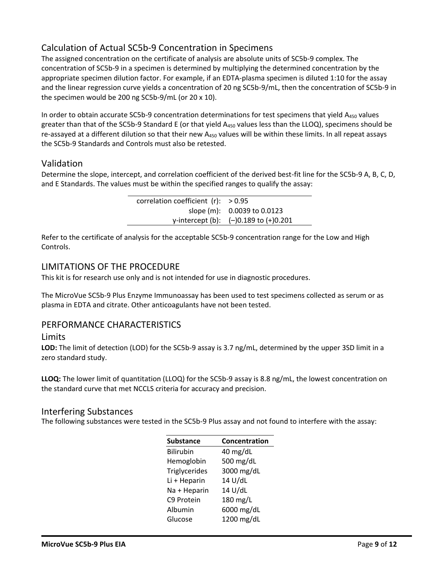# Calculation of Actual SC5b-9 Concentration in Specimens

The assigned concentration on the certificate of analysis are absolute units of SC5b-9 complex. The concentration of SC5b-9 in a specimen is determined by multiplying the determined concentration by the appropriate specimen dilution factor. For example, if an EDTA-plasma specimen is diluted 1:10 for the assay and the linear regression curve yields a concentration of 20 ng SC5b-9/mL, then the concentration of SC5b-9 in the specimen would be 200 ng SC5b-9/mL (or 20 x 10).

In order to obtain accurate SC5b-9 concentration determinations for test specimens that yield A<sub>450</sub> values greater than that of the SC5b-9 Standard E (or that yield  $A_{450}$  values less than the LLOQ), specimens should be re-assayed at a different dilution so that their new  $A_{450}$  values will be within these limits. In all repeat assays the SC5b-9 Standards and Controls must also be retested.

## Validation

Determine the slope, intercept, and correlation coefficient of the derived best-fit line for the SC5b-9 A, B, C, D, and E Standards. The values must be within the specified ranges to qualify the assay:

| correlation coefficient $(r)$ : > 0.95 |                                           |
|----------------------------------------|-------------------------------------------|
|                                        | slope (m): 0.0039 to 0.0123               |
|                                        | y-intercept (b): $(-)0.189$ to $(+)0.201$ |

Refer to the certificate of analysis for the acceptable SC5b-9 concentration range for the Low and High Controls.

### LIMITATIONS OF THE PROCEDURE

This kit is for research use only and is not intended for use in diagnostic procedures.

The MicroVue SC5b-9 Plus Enzyme Immunoassay has been used to test specimens collected as serum or as plasma in EDTA and citrate. Other anticoagulants have not been tested.

### PERFORMANCE CHARACTERISTICS

#### **Limits**

**LOD:** The limit of detection (LOD) for the SC5b-9 assay is 3.7 ng/mL, determined by the upper 3SD limit in a zero standard study.

**LLOQ:** The lower limit of quantitation (LLOQ) for the SC5b-9 assay is 8.8 ng/mL, the lowest concentration on the standard curve that met NCCLS criteria for accuracy and precision.

### Interfering Substances

The following substances were tested in the SC5b-9 Plus assay and not found to interfere with the assay:

| <b>Substance</b> | Concentration |
|------------------|---------------|
| <b>Bilirubin</b> | 40 mg/dL      |
| Hemoglobin       | 500 mg/dL     |
| Triglycerides    | 3000 mg/dL    |
| Li + Heparin     | 14 U/dL       |
| Na + Heparin     | 14 U/dL       |
| C9 Protein       | 180 mg/L      |
| Albumin          | 6000 mg/dL    |
| Glucose          | 1200 mg/dL    |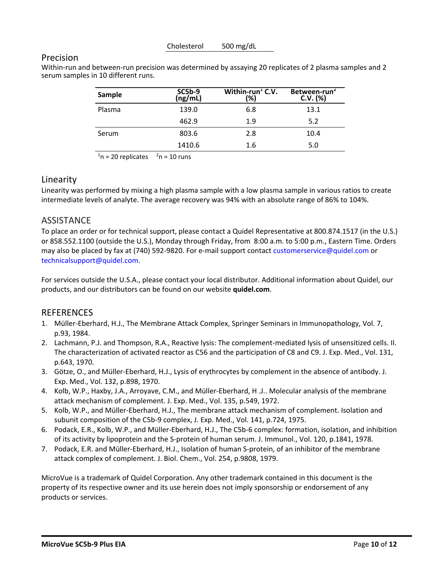Cholesterol 500 mg/dL

### Precision

Within-run and between-run precision was determined by assaying 20 replicates of 2 plasma samples and 2 serum samples in 10 different runs.

| Sample | $SC5b-9$<br>(ng/mL) | Within-run $E$ C.V.<br>(%) | Between-run <sup>2</sup><br>$C.V.$ (%) |
|--------|---------------------|----------------------------|----------------------------------------|
| Plasma | 139.0               | 6.8                        | 13.1                                   |
|        | 462.9               | 1.9                        | 5.2                                    |
| Serum  | 803.6               | 2.8                        | 10.4                                   |
|        | 1410.6              | 1.6                        | 5.0                                    |

 $n = 20$  replicates  $2n = 10$  runs

## Linearity

Linearity was performed by mixing a high plasma sample with a low plasma sample in various ratios to create intermediate levels of analyte. The average recovery was 94% with an absolute range of 86% to 104%.

## **ASSISTANCE**

To place an order or for technical support, please contact a Quidel Representative at 800.874.1517 (in the U.S.) or 858.552.1100 (outside the U.S.), Monday through Friday, from 8:00 a.m. to 5:00 p.m., Eastern Time. Orders may also be placed by fax at (740) 592-9820. For e-mail support contact customerservice@quidel.com or technicalsupport@quidel.com.

For services outside the U.S.A., please contact your local distributor. Additional information about Quidel, our products, and our distributors can be found on our website **quidel.com**.

## **REFERENCES**

- 1. Müller-Eberhard, H.J., The Membrane Attack Complex, Springer Seminars in Immunopathology, Vol. 7, p.93, 1984.
- 2. Lachmann, P.J. and Thompson, R.A., Reactive lysis: The complement-mediated lysis of unsensitized cells. II. The characterization of activated reactor as C56 and the participation of C8 and C9. J. Exp. Med., Vol. 131, p.643, 1970.
- 3. Götze, O., and Müller-Eberhard, H.J., Lysis of erythrocytes by complement in the absence of antibody. J. Exp. Med., Vol. 132, p.898, 1970.
- 4. Kolb, W.P., Haxby, J.A., Arroyave, C.M., and Müller-Eberhard, H .J.. Molecular analysis of the membrane attack mechanism of complement. J. Exp. Med., Vol. 135, p.549, 1972.
- 5. Kolb, W.P., and Müller-Eberhard, H.J., The membrane attack mechanism of complement. Isolation and subunit composition of the C5b-9 complex, J. Exp. Med., Vol. 141, p.724, 1975.
- 6. Podack, E.R., Kolb, W.P., and Müller-Eberhard, H.J., The C5b-6 complex: formation, isolation, and inhibition of its activity by lipoprotein and the S-protein of human serum. J. Immunol., Vol. 120, p.1841, 1978.
- 7. Podack, E.R. and Müller-Eberhard, H.J., Isolation of human S-protein, of an inhibitor of the membrane attack complex of complement. J. Biol. Chem., Vol. 254, p.9808, 1979.

MicroVue is a trademark of Quidel Corporation. Any other trademark contained in this document is the property of its respective owner and its use herein does not imply sponsorship or endorsement of any products or services.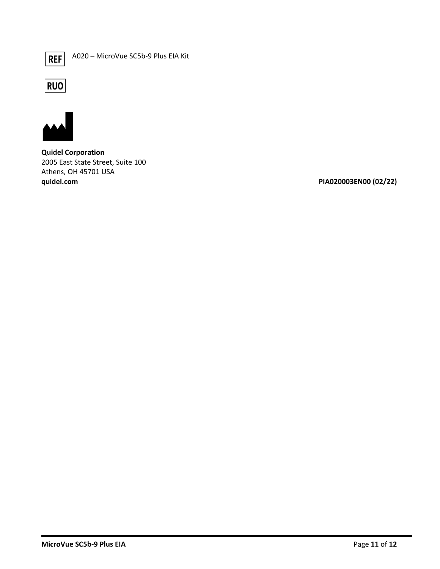$REF$ 

A020 – MicroVue SC5b-9 Plus EIA Kit





**Quidel Corporation** 2005 East State Street, Suite 100 Athens, OH 45701 USA **quidel.com PIA020003EN00 (02/22)**